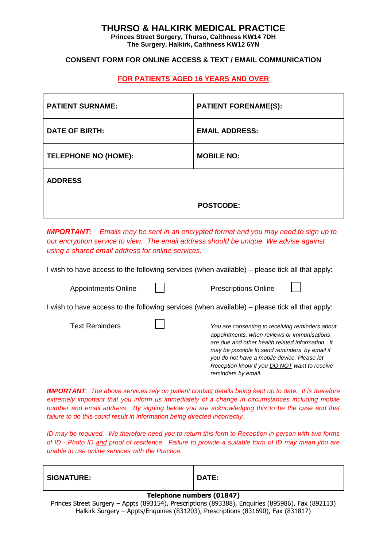## **THURSO & HALKIRK MEDICAL PRACTICE**

**Princes Street Surgery, Thurso, Caithness KW14 7DH The Surgery, Halkirk, Caithness KW12 6YN**

### **CONSENT FORM FOR ONLINE ACCESS & TEXT / EMAIL COMMUNICATION**

## **FOR PATIENTS AGED 16 YEARS AND OVER**

| <b>PATIENT SURNAME:</b>     | <b>PATIENT FORENAME(S):</b> |
|-----------------------------|-----------------------------|
| <b>DATE OF BIRTH:</b>       | <b>EMAIL ADDRESS:</b>       |
| <b>TELEPHONE NO (HOME):</b> | <b>MOBILE NO:</b>           |
| <b>ADDRESS</b>              |                             |
|                             | <b>POSTCODE:</b>            |

*IMPORTANT: Emails may be sent in an encrypted format and you may need to sign up to our encryption service to view. The email address should be unique. We advise against using a shared email address for online services.*

I wish to have access to the following services (when available) – please tick all that apply:

| <b>Appointments Online</b> | <b>Prescriptions Online</b>                                                                                                                                                                                                                                                                                                      |
|----------------------------|----------------------------------------------------------------------------------------------------------------------------------------------------------------------------------------------------------------------------------------------------------------------------------------------------------------------------------|
|                            | I wish to have access to the following services (when available) – please tick all that apply:                                                                                                                                                                                                                                   |
| <b>Text Reminders</b>      | You are consenting to receiving reminders about<br>appointments, when reviews or immunisations<br>are due and other health related information. It<br>may be possible to send reminders by email if<br>you do not have a mobile device. Please let<br>Reception know if you <b>DO NOT</b> want to receive<br>reminders by email. |

*IMPORTANT: The above services rely on patient contact details being kept up to date. It is therefore extremely important that you inform us immediately of a change in circumstances including mobile number and email address. By signing below you are acknowledging this to be the case and that failure to do this could result in information being directed incorrectly.*

*ID may be required. We therefore need you to return this form to Reception in person with two forms of ID - Photo ID and proof of residence. Failure to provide a suitable form of ID may mean you are unable to use online services with the Practice.*

|                   | - - | $\sim$ $\sim$ $\sim$ $\sim$ $\sim$ |
|-------------------|-----|------------------------------------|
| <b>SIGNATURE:</b> |     | DATE:                              |
|                   |     |                                    |

### **Telephone numbers (01847)**

Princes Street Surgery – Appts (893154), Prescriptions (893388), Enquiries (895986), Fax (892113) Halkirk Surgery – Appts/Enquiries (831203), Prescriptions (831690), Fax (831817)